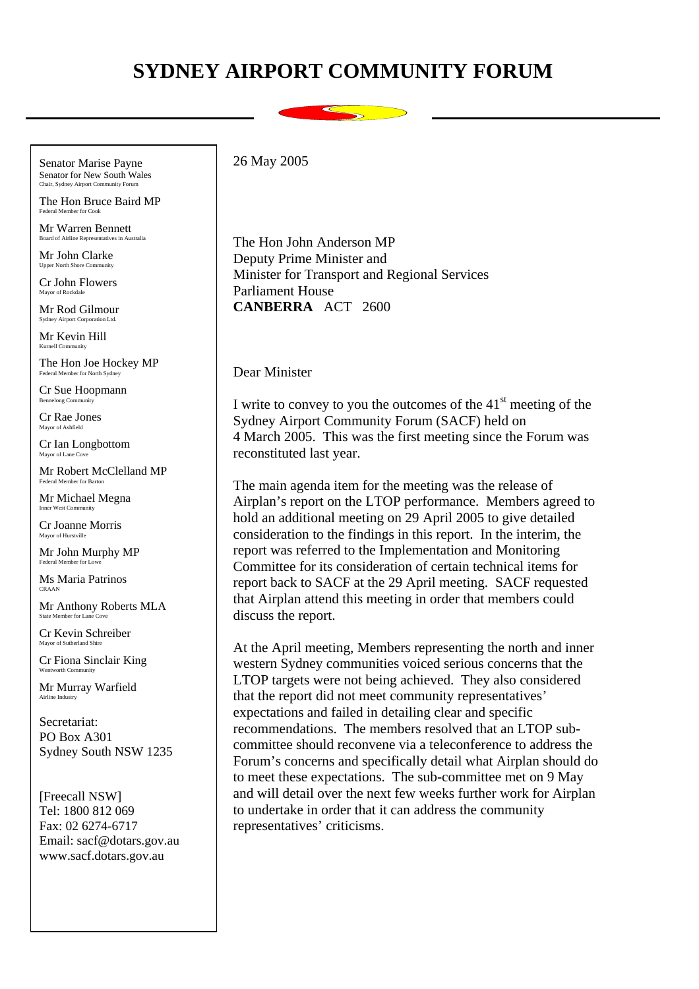## **SYDNEY AIRPORT COMMUNITY FORUM**

Senator Marise Payne Senator for New South Wales

The Hon Bruce Baird MP Federal Member for Cook

Mr Warren Bennett Board of Airline Representatives in Australia

Mr John Clarke Upper North Shore Com-

Cr John Flowers Mayor of Rockdale

Mr Rod Gilmour Sydney Airport Corporation Ltd.

Mr Kevin Hill Kurnell Community

The Hon Joe Hockey MP Federal Member for North Sydney

Cr Sue Hoopmann Bennelong Community

Cr Rae Jones Mayor of Ashfield

Cr Ian Longbottom Mayor of Lane Cove

Mr Robert McClelland MP Federal Member for Barton

Mr Michael Megna Inner West Community

Cr Joanne Morris Mayor of Hurstville

Mr John Murphy MP Federal Member for Lowe

Ms Maria Patrinos CRAAN

Mr Anthony Roberts MLA State Member for Lane

Cr Kevin Schreiber Mayor of Suth

Cr Fiona Sinclair King Wentworth Community

Mr Murray Warfield Airline Industry

Secretariat: PO Box A301 Sydney South NSW 1235

[Freecall NSW] Tel: 1800 812 069 Fax: 02 6274-6717 Email: sacf@dotars.gov.au www.sacf.dotars.gov.au

26 May 2005

The Hon John Anderson MP Deputy Prime Minister and Minister for Transport and Regional Services Parliament House **CANBERRA** ACT 2600

Dear Minister

I write to convey to you the outcomes of the  $41<sup>st</sup>$  meeting of the Sydney Airport Community Forum (SACF) held on 4 March 2005. This was the first meeting since the Forum was reconstituted last year.

The main agenda item for the meeting was the release of Airplan's report on the LTOP performance. Members agreed to hold an additional meeting on 29 April 2005 to give detailed consideration to the findings in this report. In the interim, the report was referred to the Implementation and Monitoring Committee for its consideration of certain technical items for report back to SACF at the 29 April meeting. SACF requested that Airplan attend this meeting in order that members could discuss the report.

At the April meeting, Members representing the north and inner western Sydney communities voiced serious concerns that the LTOP targets were not being achieved. They also considered that the report did not meet community representatives' expectations and failed in detailing clear and specific recommendations. The members resolved that an LTOP subcommittee should reconvene via a teleconference to address the Forum's concerns and specifically detail what Airplan should do to meet these expectations. The sub-committee met on 9 May and will detail over the next few weeks further work for Airplan to undertake in order that it can address the community representatives' criticisms.